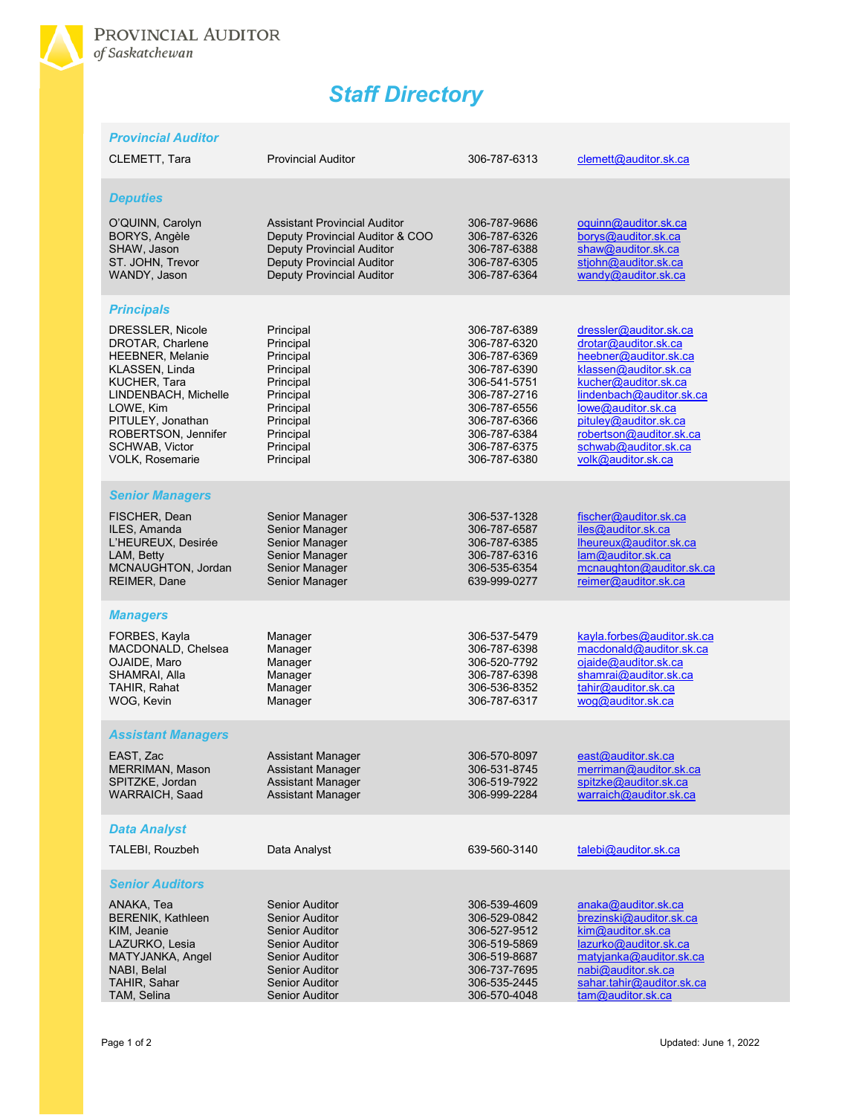

## *Staff Directory*

| <b>Provincial Auditor</b>                                                                                                                                                                           |                                                                                                                                                                                    |                                                                                                                                                              |                                                                                                                                                                                                                                                    |
|-----------------------------------------------------------------------------------------------------------------------------------------------------------------------------------------------------|------------------------------------------------------------------------------------------------------------------------------------------------------------------------------------|--------------------------------------------------------------------------------------------------------------------------------------------------------------|----------------------------------------------------------------------------------------------------------------------------------------------------------------------------------------------------------------------------------------------------|
| CLEMETT, Tara                                                                                                                                                                                       | <b>Provincial Auditor</b>                                                                                                                                                          | 306-787-6313                                                                                                                                                 | clemett@auditor.sk.ca                                                                                                                                                                                                                              |
| <b>Deputies</b><br>O'QUINN, Carolyn<br>BORYS, Angèle<br>SHAW, Jason<br>ST. JOHN, Trevor<br>WANDY, Jason                                                                                             | <b>Assistant Provincial Auditor</b><br>Deputy Provincial Auditor & COO<br><b>Deputy Provincial Auditor</b><br><b>Deputy Provincial Auditor</b><br><b>Deputy Provincial Auditor</b> | 306-787-9686<br>306-787-6326<br>306-787-6388<br>306-787-6305<br>306-787-6364                                                                                 | oquinn@auditor.sk.ca<br>borys@auditor.sk.ca<br>shaw@auditor.sk.ca<br>stjohn@auditor.sk.ca<br>wandy@auditor.sk.ca                                                                                                                                   |
| <b>Principals</b><br>DRESSLER, Nicole                                                                                                                                                               | Principal                                                                                                                                                                          | 306-787-6389                                                                                                                                                 | dressler@auditor.sk.ca                                                                                                                                                                                                                             |
| DROTAR, Charlene<br><b>HEEBNER, Melanie</b><br>KLASSEN, Linda<br>KUCHER, Tara<br>LINDENBACH, Michelle<br>LOWE, Kim<br>PITULEY, Jonathan<br>ROBERTSON, Jennifer<br>SCHWAB, Victor<br>VOLK, Rosemarie | Principal<br>Principal<br>Principal<br>Principal<br>Principal<br>Principal<br>Principal<br>Principal<br>Principal<br>Principal                                                     | 306-787-6320<br>306-787-6369<br>306-787-6390<br>306-541-5751<br>306-787-2716<br>306-787-6556<br>306-787-6366<br>306-787-6384<br>306-787-6375<br>306-787-6380 | drotar@auditor.sk.ca<br>heebner@auditor.sk.ca<br>klassen@auditor.sk.ca<br>kucher@auditor.sk.ca<br>lindenbach@auditor.sk.ca<br>lowe@auditor.sk.ca<br>pituley@auditor.sk.ca<br>robertson@auditor.sk.ca<br>schwab@auditor.sk.ca<br>volk@auditor.sk.ca |
| <b>Senior Managers</b>                                                                                                                                                                              |                                                                                                                                                                                    |                                                                                                                                                              |                                                                                                                                                                                                                                                    |
| FISCHER, Dean<br>ILES, Amanda<br>L'HEUREUX, Desirée<br>LAM, Betty<br>MCNAUGHTON, Jordan<br>REIMER, Dane                                                                                             | Senior Manager<br>Senior Manager<br>Senior Manager<br>Senior Manager<br>Senior Manager<br>Senior Manager                                                                           | 306-537-1328<br>306-787-6587<br>306-787-6385<br>306-787-6316<br>306-535-6354<br>639-999-0277                                                                 | fischer@auditor.sk.ca<br>iles@auditor.sk.ca<br>lheureux@auditor.sk.ca<br>lam@auditor.sk.ca<br>mcnaughton@auditor.sk.ca<br>reimer@auditor.sk.ca                                                                                                     |
| <b>Managers</b>                                                                                                                                                                                     |                                                                                                                                                                                    |                                                                                                                                                              |                                                                                                                                                                                                                                                    |
| FORBES, Kayla<br>MACDONALD, Chelsea<br>OJAIDE, Maro<br>SHAMRAI, Alla<br>TAHIR, Rahat<br>WOG, Kevin                                                                                                  | Manager<br>Manager<br>Manager<br>Manager<br>Manager<br>Manager                                                                                                                     | 306-537-5479<br>306-787-6398<br>306-520-7792<br>306-787-6398<br>306-536-8352<br>306-787-6317                                                                 | kayla.forbes@auditor.sk.ca<br>macdonald@auditor.sk.ca<br>ojaide@auditor.sk.ca<br>shamrai@auditor.sk.ca<br>tahir@auditor.sk.ca<br>wog@auditor.sk.ca                                                                                                 |
| <b>Assistant Managers</b>                                                                                                                                                                           |                                                                                                                                                                                    |                                                                                                                                                              |                                                                                                                                                                                                                                                    |
| EAST, Zac<br>MERRIMAN, Mason<br>SPITZKE, Jordan<br><b>WARRAICH, Saad</b>                                                                                                                            | Assistant Manager<br><b>Assistant Manager</b><br><b>Assistant Manager</b><br><b>Assistant Manager</b>                                                                              | 306-570-8097<br>306-531-8745<br>306-519-7922<br>306-999-2284                                                                                                 | east@auditor.sk.ca<br>merriman@auditor.sk.ca<br>spitzke@auditor.sk.ca<br>warraich@auditor.sk.ca                                                                                                                                                    |
| <b>Data Analyst</b>                                                                                                                                                                                 |                                                                                                                                                                                    |                                                                                                                                                              |                                                                                                                                                                                                                                                    |
| TALEBI, Rouzbeh                                                                                                                                                                                     | Data Analyst                                                                                                                                                                       | 639-560-3140                                                                                                                                                 | talebi@auditor.sk.ca                                                                                                                                                                                                                               |
| <b>Senior Auditors</b>                                                                                                                                                                              |                                                                                                                                                                                    |                                                                                                                                                              |                                                                                                                                                                                                                                                    |
| ANAKA, Tea<br><b>BERENIK, Kathleen</b><br>KIM, Jeanie<br>LAZURKO, Lesia<br>MATYJANKA, Angel<br>NABI, Belal<br>TAHIR, Sahar                                                                          | <b>Senior Auditor</b><br><b>Senior Auditor</b><br><b>Senior Auditor</b><br><b>Senior Auditor</b><br><b>Senior Auditor</b><br><b>Senior Auditor</b><br><b>Senior Auditor</b>        | 306-539-4609<br>306-529-0842<br>306-527-9512<br>306-519-5869<br>306-519-8687<br>306-737-7695<br>306-535-2445                                                 | anaka@auditor.sk.ca<br>brezinski@auditor.sk.ca<br>kim@auditor.sk.ca<br>lazurko@auditor.sk.ca<br>matyjanka@auditor.sk.ca<br>nabi@auditor.sk.ca<br>sahar.tahir@auditor.sk.ca                                                                         |
| TAM, Selina                                                                                                                                                                                         | <b>Senior Auditor</b>                                                                                                                                                              | 306-570-4048                                                                                                                                                 | tam@auditor.sk.ca                                                                                                                                                                                                                                  |